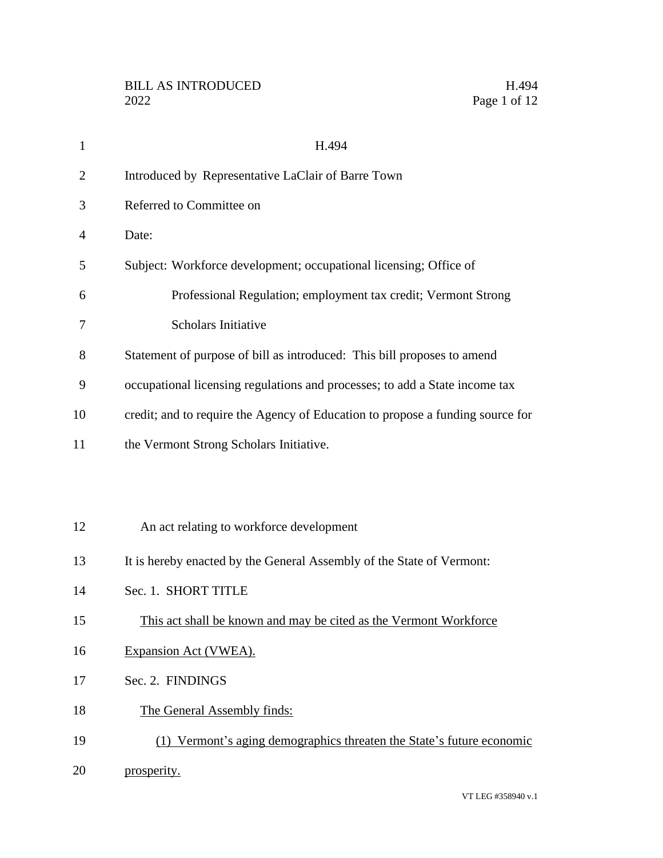| $\mathbf{1}$   | H.494                                                                          |
|----------------|--------------------------------------------------------------------------------|
| 2              | Introduced by Representative LaClair of Barre Town                             |
| 3              | Referred to Committee on                                                       |
| $\overline{4}$ | Date:                                                                          |
| 5              | Subject: Workforce development; occupational licensing; Office of              |
| 6              | Professional Regulation; employment tax credit; Vermont Strong                 |
| 7              | <b>Scholars Initiative</b>                                                     |
| 8              | Statement of purpose of bill as introduced: This bill proposes to amend        |
| 9              | occupational licensing regulations and processes; to add a State income tax    |
| 10             | credit; and to require the Agency of Education to propose a funding source for |
| 11             | the Vermont Strong Scholars Initiative.                                        |
|                |                                                                                |
|                |                                                                                |
| 12             | An act relating to workforce development                                       |
| 13             | It is hereby enacted by the General Assembly of the State of Vermont:          |
| 14             | Sec. 1. SHORT TITLE                                                            |
| 15             | This act shall be known and may be cited as the Vermont Workforce              |
| 16             | Expansion Act (VWEA).                                                          |
| 17             | Sec. 2. FINDINGS                                                               |
| 18             | The General Assembly finds:                                                    |
| 19             | (1) Vermont's aging demographics threaten the State's future economic          |
| 20             | prosperity.                                                                    |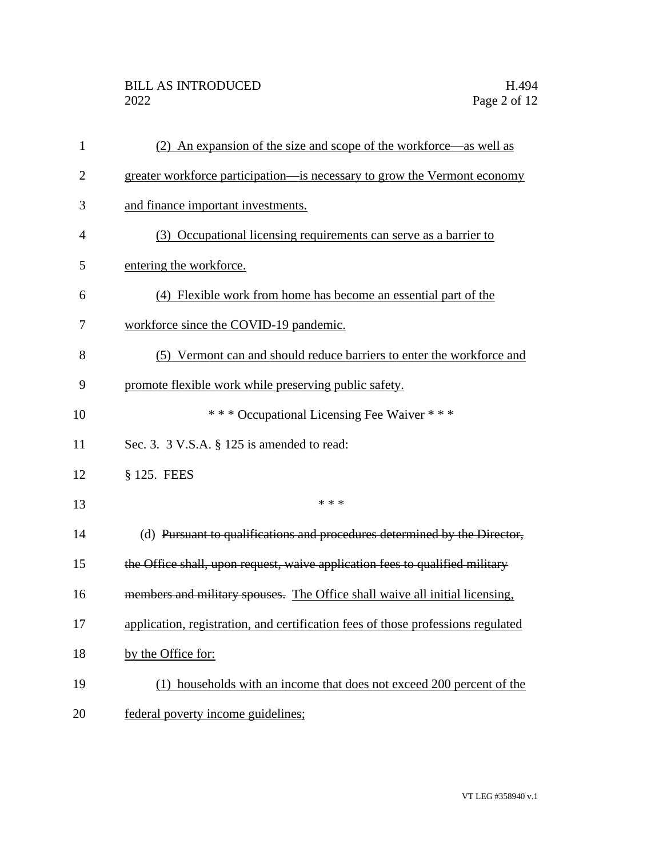| $\mathbf{1}$   | (2) An expansion of the size and scope of the workforce—as well as               |
|----------------|----------------------------------------------------------------------------------|
| $\overline{2}$ | greater workforce participation—is necessary to grow the Vermont economy         |
| 3              | and finance important investments.                                               |
| 4              | (3) Occupational licensing requirements can serve as a barrier to                |
| 5              | entering the workforce.                                                          |
| 6              | (4) Flexible work from home has become an essential part of the                  |
| 7              | workforce since the COVID-19 pandemic.                                           |
| 8              | (5) Vermont can and should reduce barriers to enter the workforce and            |
| 9              | promote flexible work while preserving public safety.                            |
| 10             | *** Occupational Licensing Fee Waiver ***                                        |
| 11             | Sec. 3. $3$ V.S.A. $\S$ 125 is amended to read:                                  |
| 12             | § 125. FEES                                                                      |
| 13             | * * *                                                                            |
| 14             | (d) Pursuant to qualifications and procedures determined by the Director,        |
| 15             | the Office shall, upon request, waive application fees to qualified military     |
| 16             | members and military spouses. The Office shall waive all initial licensing,      |
| 17             | application, registration, and certification fees of those professions regulated |
| 18             | by the Office for:                                                               |
| 19             | (1) households with an income that does not exceed 200 percent of the            |
| 20             | federal poverty income guidelines;                                               |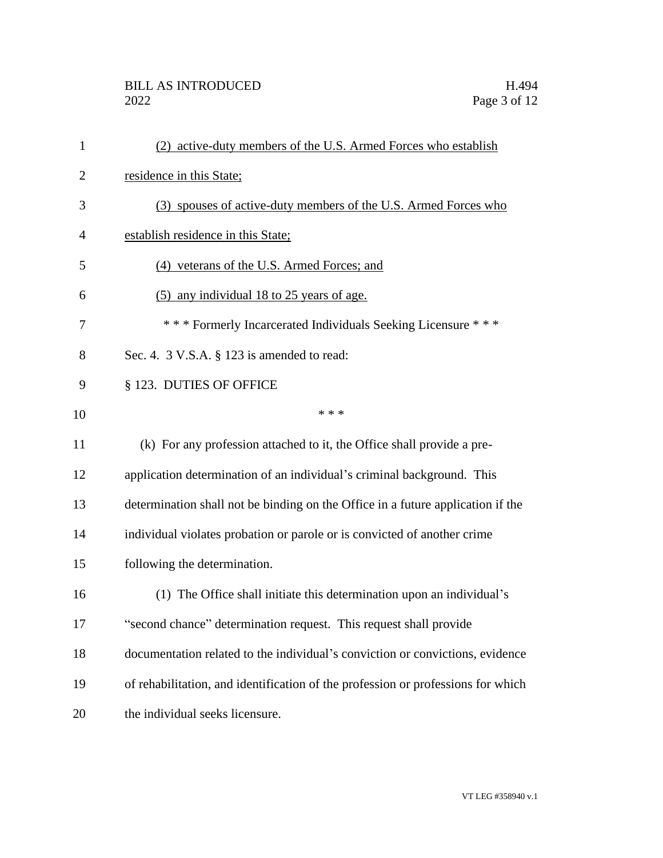| 1              | (2) active-duty members of the U.S. Armed Forces who establish                   |
|----------------|----------------------------------------------------------------------------------|
| $\overline{2}$ | residence in this State;                                                         |
| 3              | (3) spouses of active-duty members of the U.S. Armed Forces who                  |
| 4              | establish residence in this State;                                               |
| 5              | (4) veterans of the U.S. Armed Forces; and                                       |
| 6              | (5) any individual 18 to 25 years of age.                                        |
| 7              | *** Formerly Incarcerated Individuals Seeking Licensure ***                      |
| 8              | Sec. 4. 3 V.S.A. § 123 is amended to read:                                       |
| 9              | § 123. DUTIES OF OFFICE                                                          |
| 10             | * * *                                                                            |
| 11             | (k) For any profession attached to it, the Office shall provide a pre-           |
| 12             | application determination of an individual's criminal background. This           |
| 13             | determination shall not be binding on the Office in a future application if the  |
| 14             | individual violates probation or parole or is convicted of another crime         |
| 15             | following the determination.                                                     |
| 16             | (1) The Office shall initiate this determination upon an individual's            |
| 17             | second chance" determination request. This request shall provide                 |
| 18             | documentation related to the individual's conviction or convictions, evidence    |
| 19             | of rehabilitation, and identification of the profession or professions for which |
| 20             | the individual seeks licensure.                                                  |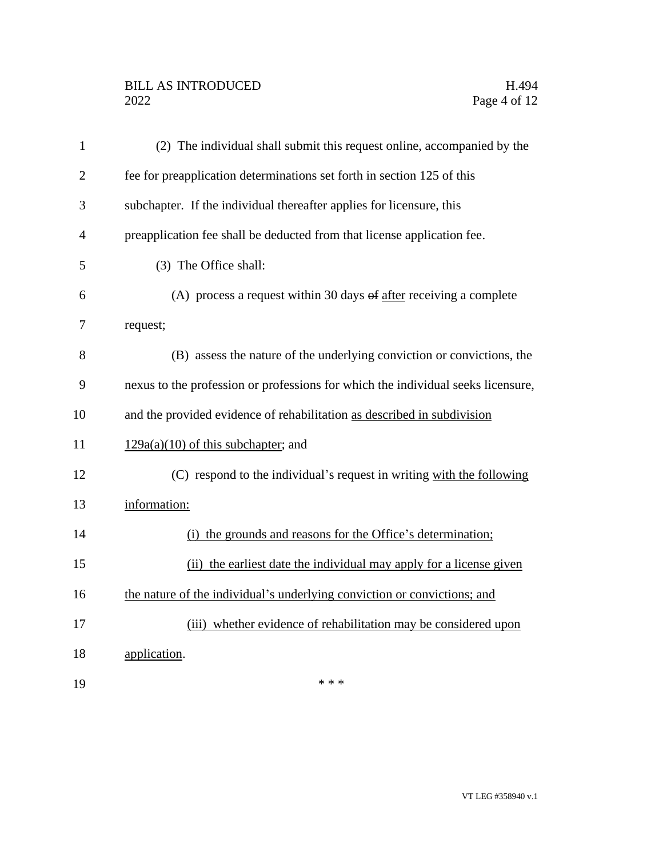## BILL AS INTRODUCED H.494<br>2022 Page 4 of 12

 $19$  \*\*\*

| $\mathbf{1}$   | (2) The individual shall submit this request online, accompanied by the          |
|----------------|----------------------------------------------------------------------------------|
| $\overline{2}$ | fee for preapplication determinations set forth in section 125 of this           |
| 3              | subchapter. If the individual thereafter applies for licensure, this             |
| $\overline{4}$ | preapplication fee shall be deducted from that license application fee.          |
| 5              | (3) The Office shall:                                                            |
| 6              | (A) process a request within 30 days $\theta$ after receiving a complete         |
| 7              | request;                                                                         |
| 8              | (B) assess the nature of the underlying conviction or convictions, the           |
| 9              | nexus to the profession or professions for which the individual seeks licensure, |
| 10             | and the provided evidence of rehabilitation as described in subdivision          |
| 11             | $129a(a)(10)$ of this subchapter; and                                            |
| 12             | (C) respond to the individual's request in writing with the following            |
| 13             | information:                                                                     |
| 14             | (i) the grounds and reasons for the Office's determination;                      |
| 15             | (ii) the earliest date the individual may apply for a license given              |
| 16             | the nature of the individual's underlying conviction or convictions; and         |
| 17             | (iii) whether evidence of rehabilitation may be considered upon                  |
| 18             | application.                                                                     |
|                |                                                                                  |

VT LEG #358940 v.1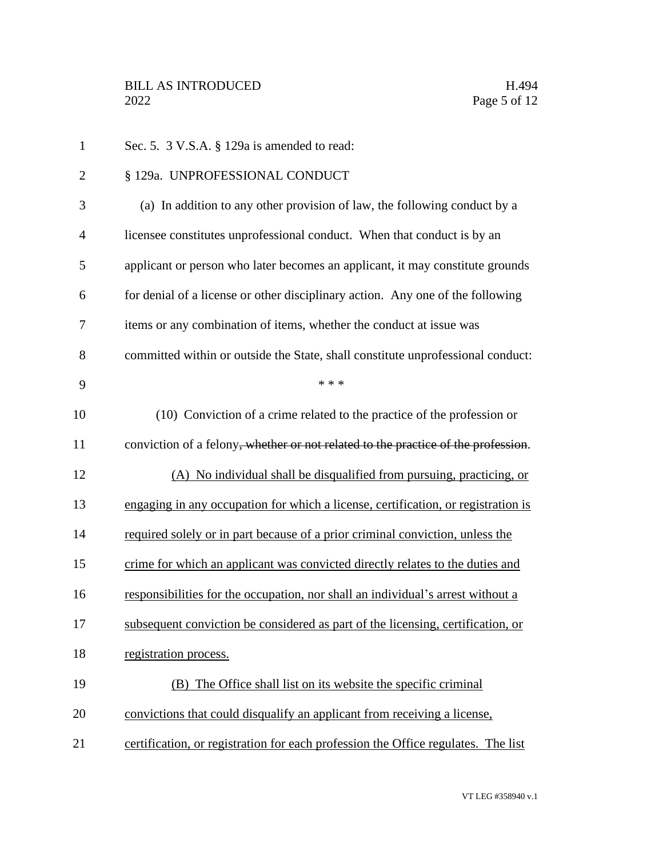| $\mathbf{1}$   | Sec. 5. 3 V.S.A. § 129a is amended to read:                                                    |
|----------------|------------------------------------------------------------------------------------------------|
| $\overline{2}$ | § 129a. UNPROFESSIONAL CONDUCT                                                                 |
| 3              | (a) In addition to any other provision of law, the following conduct by a                      |
| 4              | licensee constitutes unprofessional conduct. When that conduct is by an                        |
| 5              | applicant or person who later becomes an applicant, it may constitute grounds                  |
| 6              | for denial of a license or other disciplinary action. Any one of the following                 |
| 7              | items or any combination of items, whether the conduct at issue was                            |
| 8              | committed within or outside the State, shall constitute unprofessional conduct:                |
| 9              | * * *                                                                                          |
| 10             | (10) Conviction of a crime related to the practice of the profession or                        |
| 11             | conviction of a felony <del>, whether or not related to the practice of the profession</del> . |
| 12             | (A) No individual shall be disqualified from pursuing, practicing, or                          |
| 13             | engaging in any occupation for which a license, certification, or registration is              |
| 14             | required solely or in part because of a prior criminal conviction, unless the                  |
| 15             | crime for which an applicant was convicted directly relates to the duties and                  |
| 16             | responsibilities for the occupation, nor shall an individual's arrest without a                |
| 17             | subsequent conviction be considered as part of the licensing, certification, or                |
| 18             | registration process.                                                                          |
| 19             | (B) The Office shall list on its website the specific criminal                                 |
| 20             | convictions that could disqualify an applicant from receiving a license,                       |
| 21             | certification, or registration for each profession the Office regulates. The list              |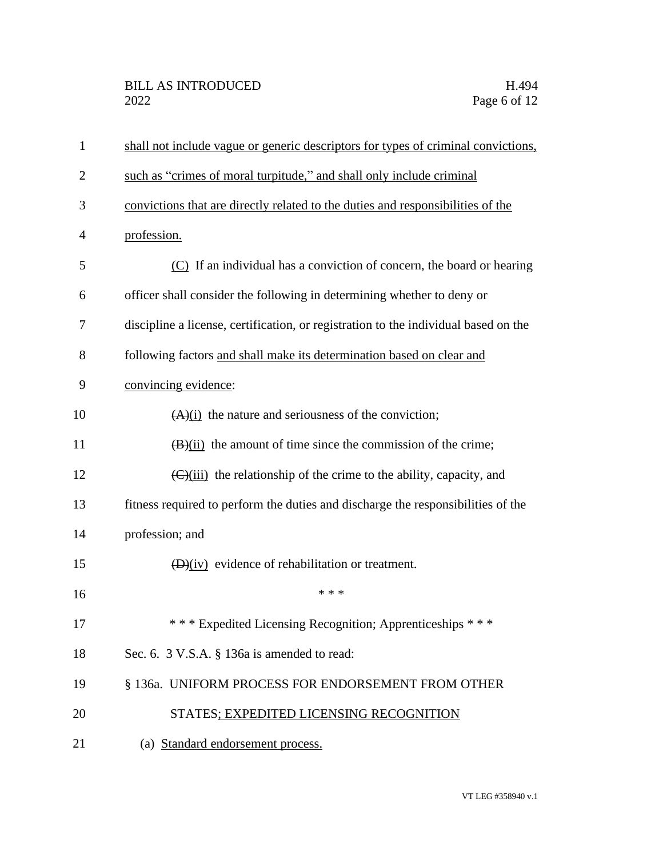| $\mathbf{1}$   | shall not include vague or generic descriptors for types of criminal convictions,              |
|----------------|------------------------------------------------------------------------------------------------|
| $\overline{2}$ | such as "crimes of moral turpitude," and shall only include criminal                           |
| 3              | convictions that are directly related to the duties and responsibilities of the                |
| $\overline{4}$ | profession.                                                                                    |
| 5              | (C) If an individual has a conviction of concern, the board or hearing                         |
| 6              | officer shall consider the following in determining whether to deny or                         |
| 7              | discipline a license, certification, or registration to the individual based on the            |
| 8              | following factors and shall make its determination based on clear and                          |
| 9              | convincing evidence:                                                                           |
| 10             | $(A)(i)$ the nature and seriousness of the conviction;                                         |
| 11             | $(\frac{B}{ii})$ the amount of time since the commission of the crime;                         |
| 12             | $\left(\frac{C}{\text{ii}}\right)$ the relationship of the crime to the ability, capacity, and |
| 13             | fitness required to perform the duties and discharge the responsibilities of the               |
| 14             | profession; and                                                                                |
| 15             | $(D)(iv)$ evidence of rehabilitation or treatment.                                             |
| 16             | * * *                                                                                          |
| 17             | *** Expedited Licensing Recognition; Apprenticeships ***                                       |
| 18             | Sec. 6. 3 V.S.A. § 136a is amended to read:                                                    |
| 19             | § 136a. UNIFORM PROCESS FOR ENDORSEMENT FROM OTHER                                             |
| 20             | STATES; EXPEDITED LICENSING RECOGNITION                                                        |
| 21             | (a) Standard endorsement process.                                                              |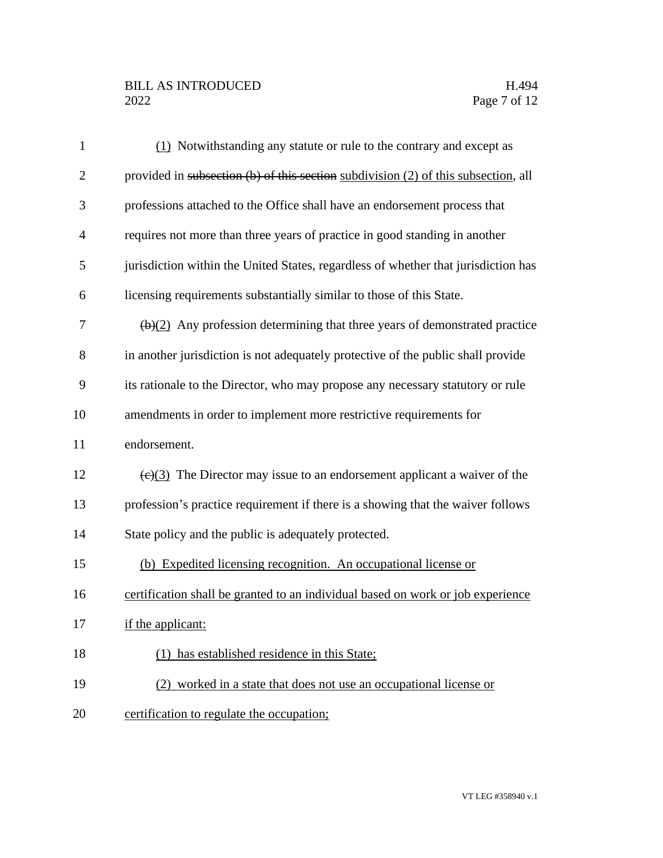## BILL AS INTRODUCED H.494<br>2022 Page 7 of 12

| $\mathbf{1}$   | (1) Notwithstanding any statute or rule to the contrary and except as                           |
|----------------|-------------------------------------------------------------------------------------------------|
| $\overline{2}$ | provided in subsection (b) of this section subdivision (2) of this subsection, all              |
| 3              | professions attached to the Office shall have an endorsement process that                       |
| $\overline{4}$ | requires not more than three years of practice in good standing in another                      |
| 5              | jurisdiction within the United States, regardless of whether that jurisdiction has              |
| 6              | licensing requirements substantially similar to those of this State.                            |
| 7              | $\left(\frac{b}{2}\right)$ Any profession determining that three years of demonstrated practice |
| 8              | in another jurisdiction is not adequately protective of the public shall provide                |
| 9              | its rationale to the Director, who may propose any necessary statutory or rule                  |
| 10             | amendments in order to implement more restrictive requirements for                              |
| 11             | endorsement.                                                                                    |
| 12             | $\left(\frac{e}{3}\right)$ The Director may issue to an endorsement applicant a waiver of the   |
| 13             | profession's practice requirement if there is a showing that the waiver follows                 |
| 14             | State policy and the public is adequately protected.                                            |
| 15             | (b) Expedited licensing recognition. An occupational license or                                 |
| 16             | certification shall be granted to an individual based on work or job experience                 |
| 17             | if the applicant:                                                                               |
| 18             | has established residence in this State;                                                        |
| 19             | (2) worked in a state that does not use an occupational license or                              |
| 20             | certification to regulate the occupation;                                                       |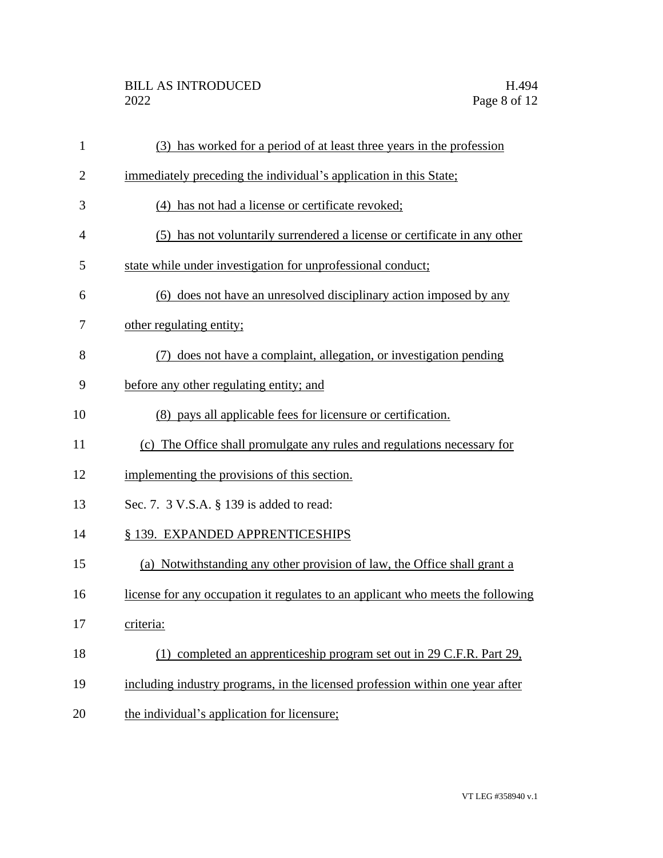| $\mathbf{1}$   | (3) has worked for a period of at least three years in the profession           |
|----------------|---------------------------------------------------------------------------------|
| $\overline{2}$ | immediately preceding the individual's application in this State;               |
| 3              | (4) has not had a license or certificate revoked;                               |
| 4              | (5) has not voluntarily surrendered a license or certificate in any other       |
| 5              | state while under investigation for unprofessional conduct;                     |
| 6              | (6) does not have an unresolved disciplinary action imposed by any              |
| 7              | other regulating entity;                                                        |
| 8              | (7) does not have a complaint, allegation, or investigation pending             |
| 9              | before any other regulating entity; and                                         |
| 10             | (8) pays all applicable fees for licensure or certification.                    |
| 11             | (c) The Office shall promulgate any rules and regulations necessary for         |
| 12             | implementing the provisions of this section.                                    |
| 13             | Sec. 7. 3 V.S.A. § 139 is added to read:                                        |
| 14             | § 139. EXPANDED APPRENTICESHIPS                                                 |
| 15             | (a) Notwithstanding any other provision of law, the Office shall grant a        |
| 16             | license for any occupation it regulates to an applicant who meets the following |
| 17             | criteria:                                                                       |
| 18             | (1) completed an apprenticeship program set out in 29 C.F.R. Part 29,           |
| 19             | including industry programs, in the licensed profession within one year after   |
| 20             | the individual's application for licensure;                                     |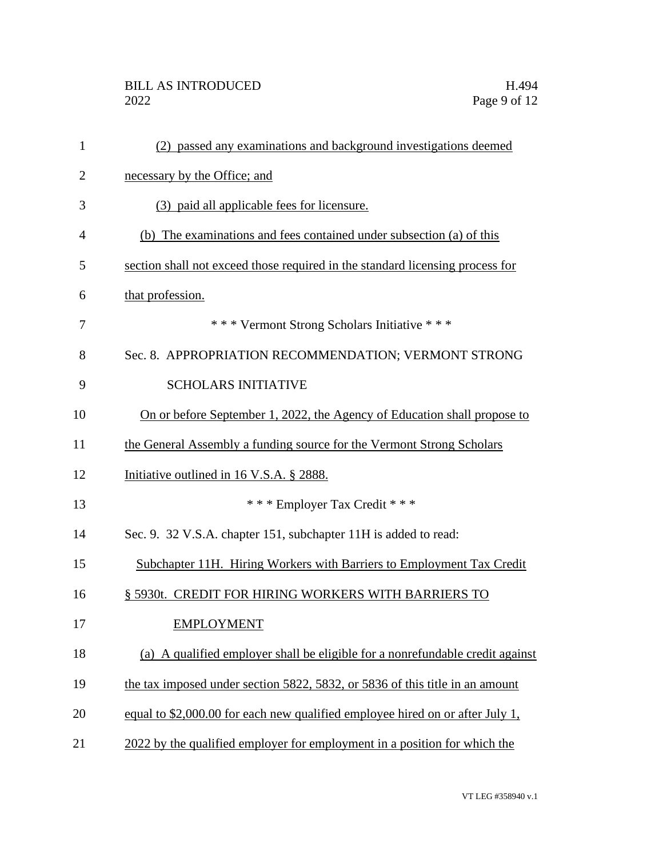| 1              | (2) passed any examinations and background investigations deemed              |
|----------------|-------------------------------------------------------------------------------|
| $\overline{2}$ | necessary by the Office; and                                                  |
| 3              | (3) paid all applicable fees for licensure.                                   |
| 4              | (b) The examinations and fees contained under subsection (a) of this          |
| 5              | section shall not exceed those required in the standard licensing process for |
| 6              | that profession.                                                              |
| 7              | *** Vermont Strong Scholars Initiative ***                                    |
| 8              | Sec. 8. APPROPRIATION RECOMMENDATION; VERMONT STRONG                          |
| 9              | <b>SCHOLARS INITIATIVE</b>                                                    |
| 10             | On or before September 1, 2022, the Agency of Education shall propose to      |
| 11             | the General Assembly a funding source for the Vermont Strong Scholars         |
| 12             | Initiative outlined in 16 V.S.A. § 2888.                                      |
| 13             | *** Employer Tax Credit ***                                                   |
| 14             | Sec. 9. 32 V.S.A. chapter 151, subchapter 11H is added to read:               |
| 15             | Subchapter 11H. Hiring Workers with Barriers to Employment Tax Credit         |
| 16             | § 5930t. CREDIT FOR HIRING WORKERS WITH BARRIERS TO                           |
| 17             | <b>EMPLOYMENT</b>                                                             |
| 18             | (a) A qualified employer shall be eligible for a nonrefundable credit against |
| 19             | the tax imposed under section 5822, 5832, or 5836 of this title in an amount  |
| 20             | equal to \$2,000.00 for each new qualified employee hired on or after July 1, |
| 21             | 2022 by the qualified employer for employment in a position for which the     |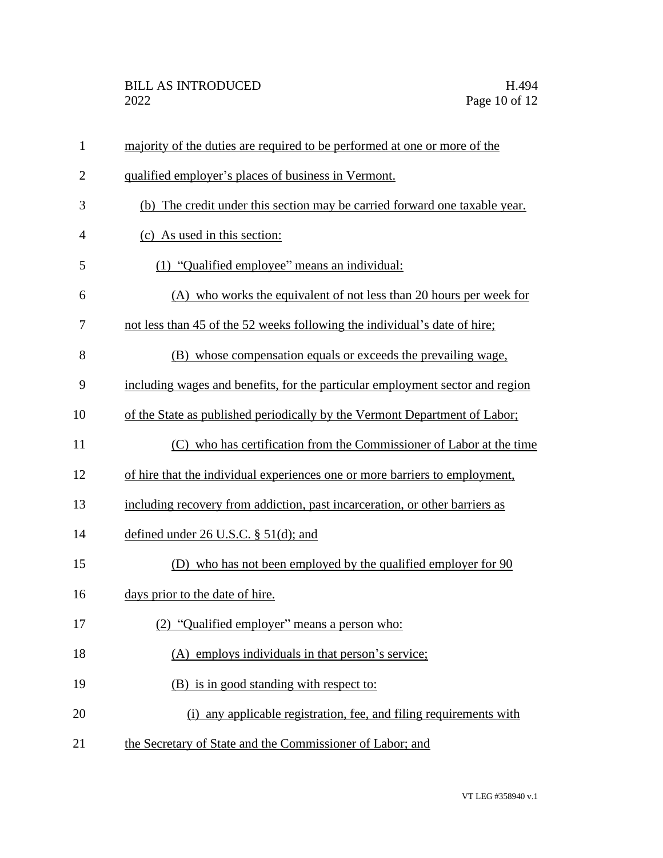| $\mathbf{1}$   | majority of the duties are required to be performed at one or more of the     |
|----------------|-------------------------------------------------------------------------------|
| $\mathbf{2}$   | qualified employer's places of business in Vermont.                           |
| 3              | (b) The credit under this section may be carried forward one taxable year.    |
| $\overline{4}$ | (c) As used in this section:                                                  |
| 5              | (1) "Qualified employee" means an individual:                                 |
| 6              | (A) who works the equivalent of not less than 20 hours per week for           |
| 7              | not less than 45 of the 52 weeks following the individual's date of hire;     |
| 8              | (B) whose compensation equals or exceeds the prevailing wage,                 |
| 9              | including wages and benefits, for the particular employment sector and region |
| 10             | of the State as published periodically by the Vermont Department of Labor;    |
| 11             | (C) who has certification from the Commissioner of Labor at the time          |
| 12             | of hire that the individual experiences one or more barriers to employment,   |
| 13             | including recovery from addiction, past incarceration, or other barriers as   |
| 14             | defined under $26$ U.S.C. § $51$ (d); and                                     |
| 15             | (D) who has not been employed by the qualified employer for 90                |
| 16             | days prior to the date of hire.                                               |
| 17             | (2) "Qualified employer" means a person who:                                  |
| 18             | (A) employs individuals in that person's service;                             |
| 19             | (B) is in good standing with respect to:                                      |
| 20             | (i) any applicable registration, fee, and filing requirements with            |
| 21             | the Secretary of State and the Commissioner of Labor; and                     |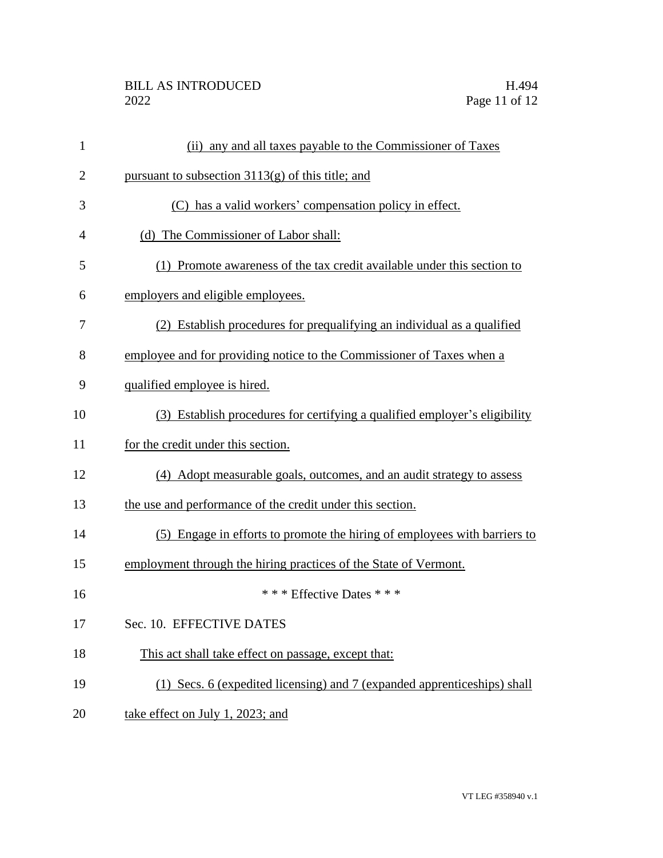## BILL AS INTRODUCED H.494<br>2022 Page 11 of 12

| $\mathbf{1}$   | (ii) any and all taxes payable to the Commissioner of Taxes                |
|----------------|----------------------------------------------------------------------------|
| $\overline{2}$ | pursuant to subsection $3113(g)$ of this title; and                        |
| 3              | (C) has a valid workers' compensation policy in effect.                    |
| 4              | (d) The Commissioner of Labor shall:                                       |
| 5              | (1) Promote awareness of the tax credit available under this section to    |
| 6              | employers and eligible employees.                                          |
| 7              | (2) Establish procedures for prequalifying an individual as a qualified    |
| 8              | employee and for providing notice to the Commissioner of Taxes when a      |
| 9              | qualified employee is hired.                                               |
| 10             | (3) Establish procedures for certifying a qualified employer's eligibility |
| 11             | for the credit under this section.                                         |
| 12             | (4) Adopt measurable goals, outcomes, and an audit strategy to assess      |
| 13             | the use and performance of the credit under this section.                  |
| 14             | (5) Engage in efforts to promote the hiring of employees with barriers to  |
| 15             | employment through the hiring practices of the State of Vermont.           |
| 16             | *** Effective Dates ***                                                    |
| 17             | Sec. 10. EFFECTIVE DATES                                                   |
| 18             | This act shall take effect on passage, except that:                        |
| 19             | (1) Secs. 6 (expedited licensing) and 7 (expanded apprenticeships) shall   |
| 20             | take effect on July 1, 2023; and                                           |